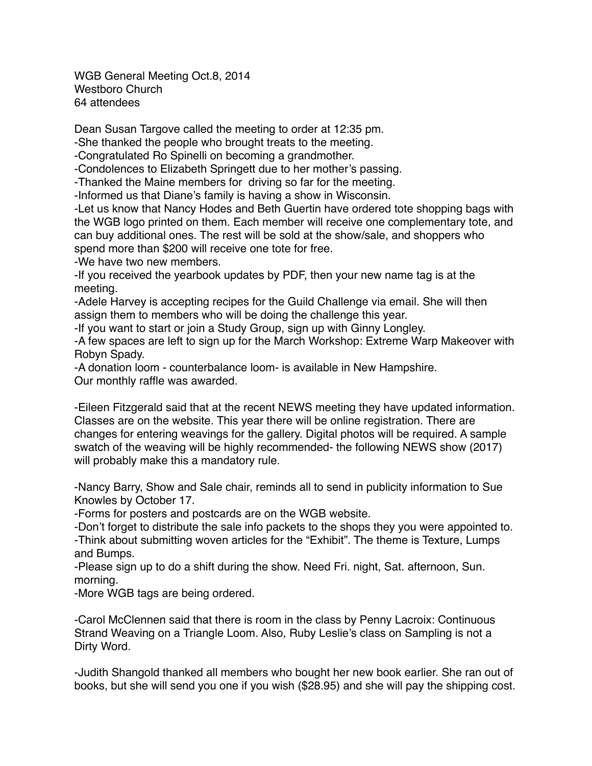WGB General Meeting Oct.8, 2014 Westboro Church 64 attendees

Dean Susan Targove called the meeting to order at 12:35 pm.

-She thanked the people who brought treats to the meeting.

-Congratulated Ro Spinelli on becoming a grandmother.

-Condolences to Elizabeth Springett due to her mother's passing.

-Thanked the Maine members for driving so far for the meeting.

-Informed us that Diane's family is having a show in Wisconsin.

-Let us know that Nancy Hodes and Beth Guertin have ordered tote shopping bags with the WGB logo printed on them. Each member will receive one complementary tote, and can buy additional ones. The rest will be sold at the show/sale, and shoppers who spend more than \$200 will receive one tote for free.

-We have two new members.

-If you received the yearbook updates by PDF, then your new name tag is at the meeting.

-Adele Harvey is accepting recipes for the Guild Challenge via email. She will then assign them to members who will be doing the challenge this year.

-If you want to start or join a Study Group, sign up with Ginny Longley.

-A few spaces are left to sign up for the March Workshop: Extreme Warp Makeover with Robyn Spady.

-A donation loom - counterbalance loom- is available in New Hampshire.

Our monthly raffle was awarded.

-Eileen Fitzgerald said that at the recent NEWS meeting they have updated information. Classes are on the website. This year there will be online registration. There are changes for entering weavings for the gallery. Digital photos will be required. A sample swatch of the weaving will be highly recommended- the following NEWS show (2017) will probably make this a mandatory rule.

-Nancy Barry, Show and Sale chair, reminds all to send in publicity information to Sue Knowles by October 17.

-Forms for posters and postcards are on the WGB website.

-Don't forget to distribute the sale info packets to the shops they you were appointed to. -Think about submitting woven articles for the "Exhibit". The theme is Texture, Lumps and Bumps.

-Please sign up to do a shift during the show. Need Fri. night, Sat. afternoon, Sun. morning.

-More WGB tags are being ordered.

-Carol McClennen said that there is room in the class by Penny Lacroix: Continuous Strand Weaving on a Triangle Loom. Also, Ruby Leslie's class on Sampling is not a Dirty Word.

-Judith Shangold thanked all members who bought her new book earlier. She ran out of books, but she will send you one if you wish (\$28.95) and she will pay the shipping cost.